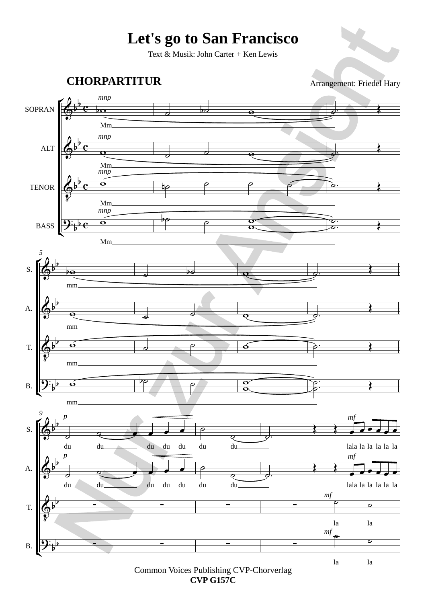## **Let's go to San Francisco**

Text & Musik: John Carter + Ken Lewis

**CHORPARTITUR**

Arrangement: Friedel Hary



Common Voices Publishing CVP-Chorverlag **CVP G157C**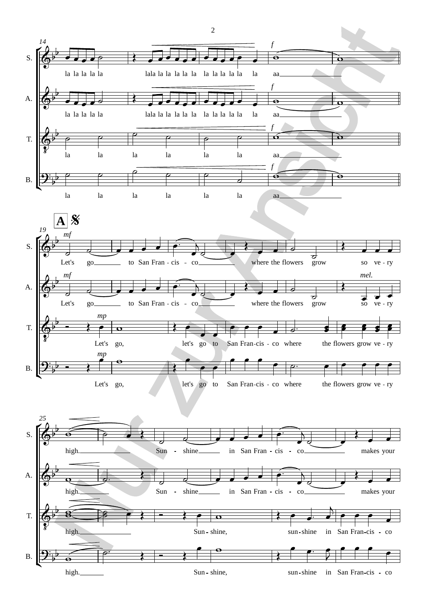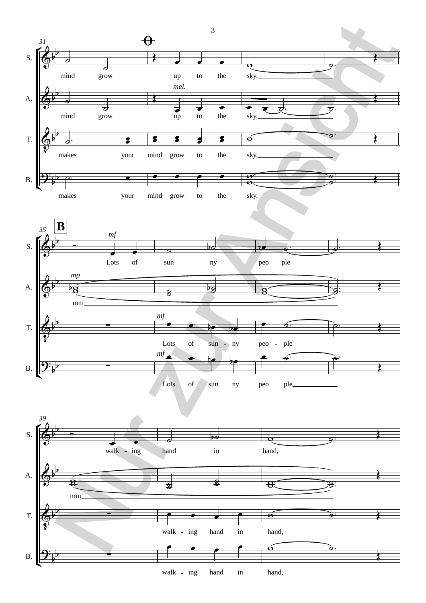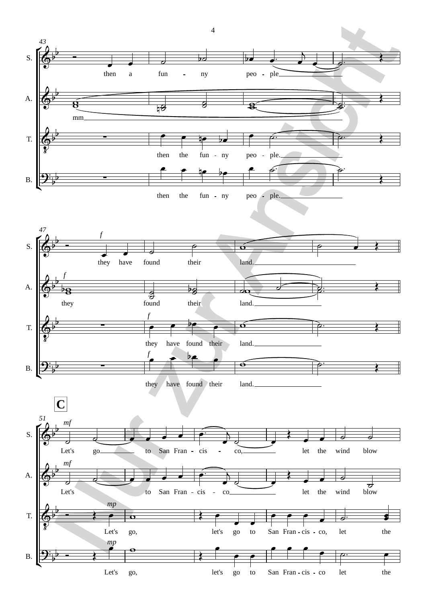

4